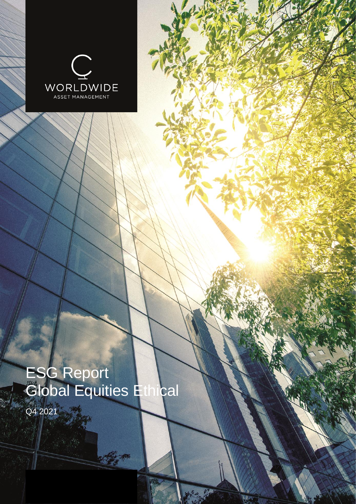

# ESG Report Global Equities Ethical

Contractor

Q4 2021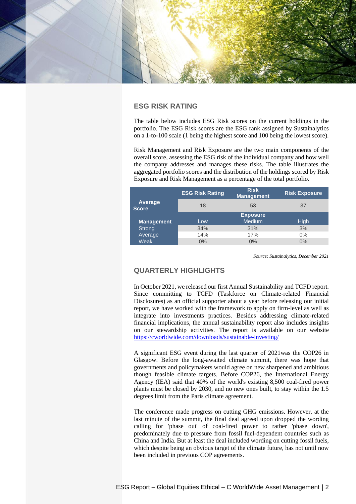

# **ESG RISK RATING**

The table below includes ESG Risk scores on the current holdings in the portfolio. The ESG Risk scores are the ESG rank assigned by Sustainalytics on a 1-to-100 scale (1 being the highest score and 100 being the lowest score).

Risk Management and Risk Exposure are the two main components of the overall score, assessing the ESG risk of the individual company and how well the company addresses and manages these risks. The table illustrates the aggregated portfolio scores and the distribution of the holdings scored by Risk Exposure and Risk Management as a percentage of the total portfolio.

|                         |                   | <b>ESG Risk Rating</b> | <b>Risk</b><br><b>Management</b> | <b>Risk Exposure</b> |  |  |
|-------------------------|-------------------|------------------------|----------------------------------|----------------------|--|--|
| Average<br><b>Score</b> |                   | 18                     | 53                               | 37                   |  |  |
|                         |                   |                        | <b>Exposure</b>                  |                      |  |  |
|                         | <b>Management</b> | Low                    | <b>Medium</b>                    | High                 |  |  |
|                         | Strong            | 34%                    | 31%                              | 3%                   |  |  |
|                         | Average           | 14%                    | 17%                              | $0\%$                |  |  |
|                         | <b>Weak</b>       | $0\%$                  | 0%                               | 0%                   |  |  |

*Source: Sustainalytics, December 2021*

# **QUARTERLY HIGHLIGHTS**

In October 2021, we released our first Annual Sustainability and TCFD report. Since committing to TCFD (Taskforce on Climate-related Financial Disclosures) as an official supporter about a year before releasing our initial report, we have worked with the framework to apply on firm-level as well as integrate into investments practices. Besides addressing climate-related financial implications, the annual sustainability report also includes insights on our stewardship activities. The report is available on our website <https://cworldwide.com/downloads/sustainable-investing/>

A significant ESG event during the last quarter of 2021was the COP26 in Glasgow. Before the long-awaited climate summit, there was hope that governments and policymakers would agree on new sharpened and ambitious though feasible climate targets. Before COP26, the International Energy Agency (IEA) said that 40% of the world's existing 8,500 coal-fired power plants must be closed by 2030, and no new ones built, to stay within the 1.5 degrees limit from the Paris climate agreement.

The conference made progress on cutting GHG emissions. However, at the last minute of the summit, the final deal agreed upon dropped the wording calling for 'phase out' of coal-fired power to rather 'phase down', predominately due to pressure from fossil fuel-dependent countries such as China and India. But at least the deal included wording on cutting fossil fuels, which despite being an obvious target of the climate future, has not until now been included in previous COP agreements.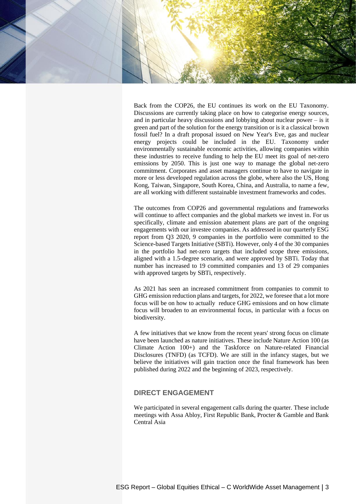

Back from the COP26, the EU continues its work on the EU Taxonomy. Discussions are currently taking place on how to categorise energy sources, and in particular heavy discussions and lobbying about nuclear power – is it green and part of the solution for the energy transition or is it a classical brown fossil fuel? In a draft proposal issued on New Year's Eve, gas and nuclear energy projects could be included in the EU. Taxonomy under environmentally sustainable economic activities, allowing companies within these industries to receive funding to help the EU meet its goal of net-zero emissions by 2050. This is just one way to manage the global net-zero commitment. Corporates and asset managers continue to have to navigate in more or less developed regulation across the globe, where also the US, Hong Kong, Taiwan, Singapore, South Korea, China, and Australia, to name a few, are all working with different sustainable investment frameworks and codes.

The outcomes from COP26 and governmental regulations and frameworks will continue to affect companies and the global markets we invest in. For us specifically, climate and emission abatement plans are part of the ongoing engagements with our investee companies. As addressed in our quarterly ESG report from Q3 2020, 9 companies in the portfolio were committed to the Science-based Targets Initiative (SBTi). However, only 4 of the 30 companies in the portfolio had net-zero targets that included scope three emissions, aligned with a 1.5-degree scenario, and were approved by SBTi. Today that number has increased to 19 committed companies and 13 of 29 companies with approved targets by SBTi, respectively.

As 2021 has seen an increased commitment from companies to commit to GHG emission reduction plans and targets, for 2022, we foresee that a lot more focus will be on how to actually reduce GHG emissions and on how climate focus will broaden to an environmental focus, in particular with a focus on biodiversity.

A few initiatives that we know from the recent years' strong focus on climate have been launched as nature initiatives. These include Nature Action 100 (as Climate Action 100+) and the Taskforce on Nature-related Financial Disclosures (TNFD) (as TCFD). We are still in the infancy stages, but we believe the initiatives will gain traction once the final framework has been published during 2022 and the beginning of 2023, respectively.

# **DIRECT ENGAGEMENT**

We participated in several engagement calls during the quarter. These include meetings with Assa Abloy, First Republic Bank, Procter & Gamble and Bank Central Asia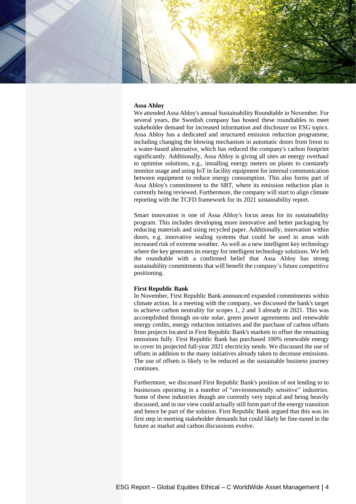

#### **Assa Abloy**

We attended Assa Abloy's annual Sustainability Roundtable in November. For several years, the Swedish company has hosted these roundtables to meet stakeholder demand for increased information and disclosure on ESG topics. Assa Abloy has a dedicated and structured emission reduction programme, including changing the blowing mechanism in automatic doors from freon to a water-based alternative, which has reduced the company's carbon footprint significantly. Additionally, Assa Abloy is giving all sites an energy overhaul to optimise solutions, e.g., installing energy meters on plants to constantly monitor usage and using IoT in facility equipment for internal communication between equipment to reduce energy consumption. This also forms part of Assa Abloy's commitment to the SBT, where its emission reduction plan is currently being reviewed. Furthermore, the company will start to align climate reporting with the TCFD framework for its 2021 sustainability report.

Smart innovation is one of Assa Abloy's focus areas for its sustainability program. This includes developing more innovative and better packaging by reducing materials and using recycled paper. Additionally, innovation within doors, e.g. innovative sealing systems that could be used in areas with increased risk of extreme weather. As well as a new intelligent key technology where the key generates its energy for intelligent technology solutions. We left the roundtable with a confirmed belief that Assa Abloy has strong sustainability commitments that will benefit the company's future competitive positioning.

#### **First Republic Bank**

In November, First Republic Bank announced expanded commitments within climate action. In a meeting with the company, we discussed the bank's target to achieve carbon neutrality for scopes 1, 2 and 3 already in 2021. This was accomplished through on-site solar, green power agreements and renewable energy credits, energy reduction initiatives and the purchase of carbon offsets from projects located in First Republic Bank's markets to offset the remaining emissions fully. First Republic Bank has purchased 100% renewable energy to cover its projected full-year 2021 electricity needs. We discussed the use of offsets in addition to the many initiatives already taken to decrease emissions. The use of offsets is likely to be reduced as the sustainable business journey continues.

Furthermore, we discussed First Republic Bank's position of not lending to to businesses operating in a number of "environmentally sensitive" industries. Some of these industries though are currently very topical and being heavily discussed, and in our view could actually still form part of the energy transition and hence be part of the solution. First Republic Bank argued that this was its first step in meeting stakeholder demands but could likely be fine-tuned in the future as market and carbon discussions evolve.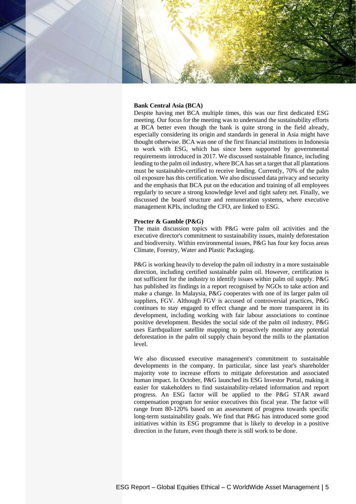

# **Bank Central Asia (BCA)**

Despite having met BCA multiple times, this was our first dedicated ESG meeting. Our focus for the meeting was to understand the sustainability efforts at BCA better even though the bank is quite strong in the field already, especially considering its origin and standards in general in Asia might have thought otherwise. BCA was one of the first financial institutions in Indonesia to work with ESG, which has since been supported by governmental requirements introduced in 2017. We discussed sustainable finance, including lending to the palm oil industry, where BCA has set a target that all plantations must be sustainable-certified to receive lending. Currently, 70% of the palm oil exposure has this certification. We also discussed data privacy and security and the emphasis that BCA put on the education and training of all employees regularly to secure a strong knowledge level and tight safety net. Finally, we discussed the board structure and remuneration systems, where executive management KPIs, including the CFO, are linked to ESG.

## **Procter & Gamble (P&G)**

The main discussion topics with P&G were palm oil activities and the executive director's commitment to sustainability issues, mainly deforestation and biodiversity. Within environmental issues, P&G has four key focus areas Climate, Forestry, Water and Plastic Packaging.

P&G is working heavily to develop the palm oil industry in a more sustainable direction, including certified sustainable palm oil. However, certification is not sufficient for the industry to identify issues within palm oil supply. P&G has published its findings in a report recognised by NGOs to take action and make a change. In Malaysia, P&G cooperates with one of its larger palm oil suppliers, FGV. Although FGV is accused of controversial practices, P&G continues to stay engaged to effect change and be more transparent in its development, including working with fair labour associations to continue positive development. Besides the social side of the palm oil industry, P&G uses Earthqualizer satellite mapping to proactively monitor any potential deforestation in the palm oil supply chain beyond the mills to the plantation level.

We also discussed executive management's commitment to sustainable developments in the company. In particular, since last year's shareholder majority vote to increase efforts to mitigate deforestation and associated human impact. In October, P&G launched its ESG Investor Portal, making it easier for stakeholders to find sustainability-related information and report progress. An ESG factor will be applied to the P&G STAR award compensation program for senior executives this fiscal year. The factor will range from 80-120% based on an assessment of progress towards specific long-term sustainability goals. We find that P&G has introduced some good initiatives within its ESG programme that is likely to develop in a positive direction in the future, even though there is still work to be done.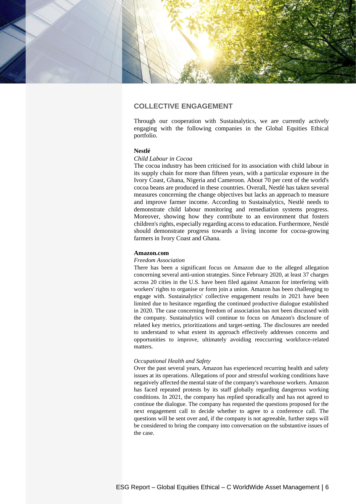

# **COLLECTIVE ENGAGEMENT**

Through our cooperation with Sustainalytics, we are currently actively engaging with the following companies in the Global Equities Ethical portfolio.

### **Nestlé**

## *Child Labour in Cocoa*

The cocoa industry has been criticised for its association with child labour in its supply chain for more than fifteen years, with a particular exposure in the Ivory Coast, Ghana, Nigeria and Cameroon. About 70 per cent of the world's cocoa beans are produced in these countries. Overall, Nestlé has taken several measures concerning the change objectives but lacks an approach to measure and improve farmer income. According to Sustainalytics, Nestlé needs to demonstrate child labour monitoring and remediation systems progress. Moreover, showing how they contribute to an environment that fosters children's rights, especially regarding access to education. Furthermore, Nestlé should demonstrate progress towards a living income for cocoa-growing farmers in Ivory Coast and Ghana.

#### **Amazon.com**

#### *Freedom Association*

There has been a significant focus on Amazon due to the alleged allegation concerning several anti-union strategies. Since February 2020, at least 37 charges across 20 cities in the U.S. have been filed against Amazon for interfering with workers' rights to organise or form join a union. Amazon has been challenging to engage with. Sustainalytics' collective engagement results in 2021 have been limited due to hesitance regarding the continued productive dialogue established in 2020. The case concerning freedom of association has not been discussed with the company. Sustainalytics will continue to focus on Amazon's disclosure of related key metrics, prioritizations and target-setting. The disclosures are needed to understand to what extent its approach effectively addresses concerns and opportunities to improve, ultimately avoiding reoccurring workforce-related matters.

#### *Occupational Health and Safety*

Over the past several years, Amazon has experienced recurring health and safety issues at its operations. Allegations of poor and stressful working conditions have negatively affected the mental state of the company's warehouse workers. Amazon has faced repeated protests by its staff globally regarding dangerous working conditions. In 2021, the company has replied sporadically and has not agreed to continue the dialogue. The company has requested the questions proposed for the next engagement call to decide whether to agree to a conference call. The questions will be sent over and, if the company is not agreeable, further steps will be considered to bring the company into conversation on the substantive issues of the case.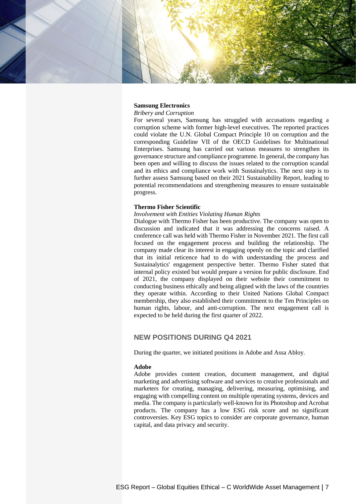

## **Samsung Electronics**

# *Bribery and Corruption*

For several years, Samsung has struggled with accusations regarding a corruption scheme with former high-level executives. The reported practices could violate the U.N. Global Compact Principle 10 on corruption and the corresponding Guideline VII of the OECD Guidelines for Multinational Enterprises. Samsung has carried out various measures to strengthen its governance structure and compliance programme. In general, the company has been open and willing to discuss the issues related to the corruption scandal and its ethics and compliance work with Sustainalytics. The next step is to further assess Samsung based on their 2021 Sustainability Report, leading to potential recommendations and strengthening measures to ensure sustainable progress.

#### **Thermo Fisher Scientific**

# *Involvement with Entities Violating Human Rights*

Dialogue with Thermo Fisher has been productive. The company was open to discussion and indicated that it was addressing the concerns raised. A conference call was held with Thermo Fisher in November 2021. The first call focused on the engagement process and building the relationship. The company made clear its interest in engaging openly on the topic and clarified that its initial reticence had to do with understanding the process and Sustainalytics' engagement perspective better. Thermo Fisher stated that internal policy existed but would prepare a version for public disclosure. End of 2021, the company displayed on their website their commitment to conducting business ethically and being aligned with the laws of the countries they operate within. According to their United Nations Global Compact membership, they also established their commitment to the Ten Principles on human rights, labour, and anti-corruption. The next engagement call is expected to be held during the first quarter of 2022.

# **NEW POSITIONS DURING Q4 2021**

During the quarter, we initiated positions in Adobe and Assa Abloy.

#### **Adobe**

Adobe provides content creation, document management, and digital marketing and advertising software and services to creative professionals and marketers for creating, managing, delivering, measuring, optimising, and engaging with compelling content on multiple operating systems, devices and media. The company is particularly well-known for its Photoshop and Acrobat products. The company has a low ESG risk score and no significant controversies. Key ESG topics to consider are corporate governance, human capital, and data privacy and security.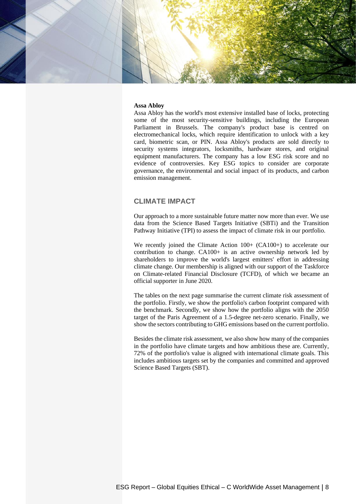

#### **Assa Abloy**

Assa Abloy has the world's most extensive installed base of locks, protecting some of the most security-sensitive buildings, including the European Parliament in Brussels. The company's product base is centred on electromechanical locks, which require identification to unlock with a key card, biometric scan, or PIN. Assa Abloy's products are sold directly to security systems integrators, locksmiths, hardware stores, and original equipment manufacturers. The company has a low ESG risk score and no evidence of controversies. Key ESG topics to consider are corporate governance, the environmental and social impact of its products, and carbon emission management.

# **CLIMATE IMPACT**

Our approach to a more sustainable future matter now more than ever. We use data from the Science Based Targets Initiative (SBTi) and the Transition Pathway Initiative (TPI) to assess the impact of climate risk in our portfolio.

We recently joined the Climate Action  $100+$  (CA100+) to accelerate our contribution to change. CA100+ is an active ownership network led by shareholders to improve the world's largest emitters' effort in addressing climate change. Our membership is aligned with our support of the Taskforce on Climate-related Financial Disclosure (TCFD), of which we became an official supporter in June 2020.

The tables on the next page summarise the current climate risk assessment of the portfolio. Firstly, we show the portfolio's carbon footprint compared with the benchmark. Secondly, we show how the portfolio aligns with the 2050 target of the Paris Agreement of a 1.5-degree net-zero scenario. Finally, we show the sectors contributing to GHG emissions based on the current portfolio.

Besides the climate risk assessment, we also show how many of the companies in the portfolio have climate targets and how ambitious these are. Currently, 72% of the portfolio's value is aligned with international climate goals. This includes ambitious targets set by the companies and committed and approved Science Based Targets (SBT).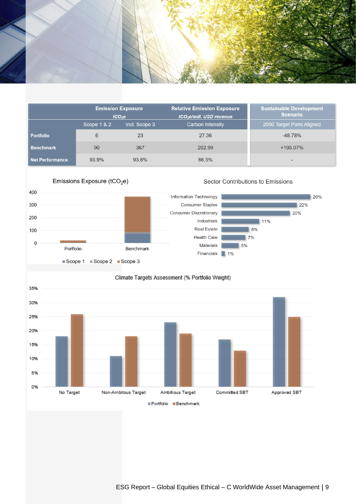

|                        | <b>Emission Exposure</b><br>tCO <sub>2</sub> e |               | <b>Relative Emission Exposure</b><br>tCO <sub>2</sub> e/mill. USD revenue | <b>Sustainable Development</b><br><b>Scenario</b> |  |  |
|------------------------|------------------------------------------------|---------------|---------------------------------------------------------------------------|---------------------------------------------------|--|--|
|                        | Scope 1 & 2                                    | Incl. Scope 3 | <b>Carbon Intensity</b>                                                   | 2050 Target Paris Aligned                         |  |  |
| <b>Portfolio</b>       | 6                                              | 23            | 27.36                                                                     | $-48.78%$                                         |  |  |
| <b>Benchmark</b>       | 90                                             | 367           | 202.99                                                                    | +195.07%                                          |  |  |
| <b>Net Performance</b> | 93.9%                                          | 93.6%         | 86.5%                                                                     | -                                                 |  |  |





# Climate Targets Assessment (% Portfolio Weight)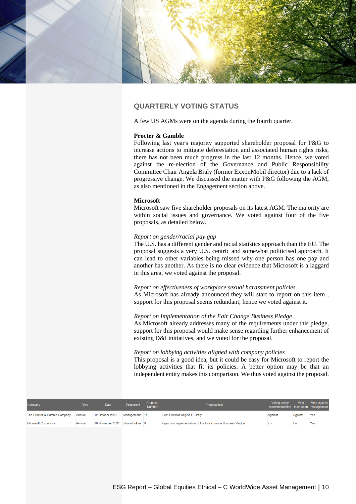

# **QUARTERLY VOTING STATUS**

A few US AGMs were on the agenda during the fourth quarter.

### **Procter & Gamble**

Following last year's majority supported shareholder proposal for P&G to increase actions to mitigate deforestation and associated human rights risks, there has not been much progress in the last 12 months. Hence, we voted against the re-election of the Governance and Public Responsibility Committee Chair Angela Braly (former ExxonMobil director) due to a lack of progressive change. We discussed the matter with P&G following the AGM, as also mentioned in the Engagement section above.

## **Microsoft**

Microsoft saw five shareholder proposals on its latest AGM. The majority are within social issues and governance. We voted against four of the five proposals, as detailed below.

#### *Report on gender/racial pay gap*

The U.S. has a different gender and racial statistics approach than the EU. The proposal suggests a very U.S. centric and somewhat politicised approach. It can lead to other variables being missed why one person has one pay and another has another. As there is no clear evidence that Microsoft is a laggard in this area, we voted against the proposal.

*Report on effectiveness of workplace sexual harassment policies* As Microsoft has already announced they will start to report on this item , support for this proposal seems redundant; hence we voted against it.

## *Report on Implementation of the Fair Change Business Pledge*

As Microsoft already addresses many of the requirements under this pledge, support for this proposal would make sense regarding further enhancement of existing D&I initiatives, and we voted for the proposal.

## *Report on lobbying activities aligned with company policies*

This proposal is a good idea, but it could be easy for Microsoft to report the lobbying activities that fit its policies. A better option may be that an independent entity makes this comparison. We thus voted against the proposal.

| Company                      | Type   | <b>Date</b>      | Proponent      | Proposal<br>Number | Proposal text                                               | Voting policy<br>recommendation instruction management | Vote    | Vote against |
|------------------------------|--------|------------------|----------------|--------------------|-------------------------------------------------------------|--------------------------------------------------------|---------|--------------|
| The Procter & Gamble Company | Annual | 12 October 2021  | Management 1b  |                    | Elect Director Angela F. Braly                              | Against                                                | Against | Yes          |
| <b>Microsoft Corporation</b> | Annual | 30 November 2021 | Share Holder 8 |                    | Report on Implementation of the Fair Chance Business Pledge | For                                                    | For     | Yes          |